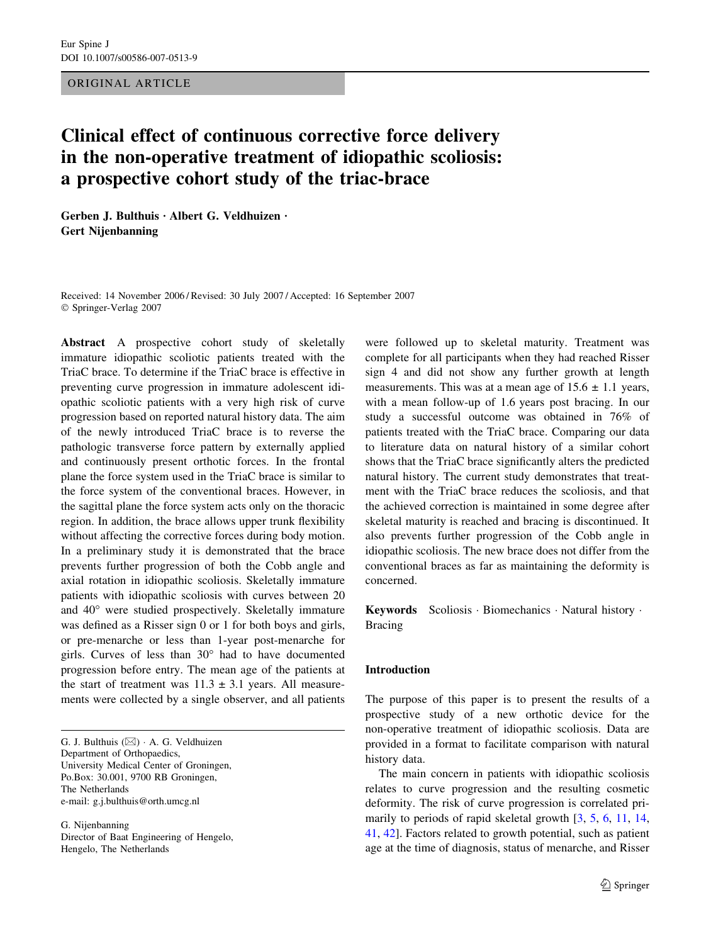# ORIGINAL ARTICLE

# Clinical effect of continuous corrective force delivery in the non-operative treatment of idiopathic scoliosis: a prospective cohort study of the triac-brace

Gerben J. Bulthuis · Albert G. Veldhuizen · Gert Nijenbanning

Received: 14 November 2006 / Revised: 30 July 2007 / Accepted: 16 September 2007 Springer-Verlag 2007

Abstract A prospective cohort study of skeletally immature idiopathic scoliotic patients treated with the TriaC brace. To determine if the TriaC brace is effective in preventing curve progression in immature adolescent idiopathic scoliotic patients with a very high risk of curve progression based on reported natural history data. The aim of the newly introduced TriaC brace is to reverse the pathologic transverse force pattern by externally applied and continuously present orthotic forces. In the frontal plane the force system used in the TriaC brace is similar to the force system of the conventional braces. However, in the sagittal plane the force system acts only on the thoracic region. In addition, the brace allows upper trunk flexibility without affecting the corrective forces during body motion. In a preliminary study it is demonstrated that the brace prevents further progression of both the Cobb angle and axial rotation in idiopathic scoliosis. Skeletally immature patients with idiopathic scoliosis with curves between 20 and 40° were studied prospectively. Skeletally immature was defined as a Risser sign 0 or 1 for both boys and girls, or pre-menarche or less than 1-year post-menarche for girls. Curves of less than  $30^{\circ}$  had to have documented progression before entry. The mean age of the patients at the start of treatment was  $11.3 \pm 3.1$  years. All measurements were collected by a single observer, and all patients

G. J. Bulthuis  $(\boxtimes)$  A. G. Veldhuizen Department of Orthopaedics, University Medical Center of Groningen, Po.Box: 30.001, 9700 RB Groningen, The Netherlands e-mail: g.j.bulthuis@orth.umcg.nl

G. Nijenbanning Director of Baat Engineering of Hengelo, Hengelo, The Netherlands

were followed up to skeletal maturity. Treatment was complete for all participants when they had reached Risser sign 4 and did not show any further growth at length measurements. This was at a mean age of  $15.6 \pm 1.1$  years, with a mean follow-up of 1.6 years post bracing. In our study a successful outcome was obtained in 76% of patients treated with the TriaC brace. Comparing our data to literature data on natural history of a similar cohort shows that the TriaC brace significantly alters the predicted natural history. The current study demonstrates that treatment with the TriaC brace reduces the scoliosis, and that the achieved correction is maintained in some degree after skeletal maturity is reached and bracing is discontinued. It also prevents further progression of the Cobb angle in idiopathic scoliosis. The new brace does not differ from the conventional braces as far as maintaining the deformity is concerned.

Keywords Scoliosis Biomechanics Natural history . Bracing

## Introduction

The purpose of this paper is to present the results of a prospective study of a new orthotic device for the non-operative treatment of idiopathic scoliosis. Data are provided in a format to facilitate comparison with natural history data.

The main concern in patients with idiopathic scoliosis relates to curve progression and the resulting cosmetic deformity. The risk of curve progression is correlated primarily to periods of rapid skeletal growth [[3,](#page-7-0) [5](#page-7-0), [6](#page-7-0), [11,](#page-7-0) [14,](#page-7-0) [41](#page-7-0), [42](#page-7-0)]. Factors related to growth potential, such as patient age at the time of diagnosis, status of menarche, and Risser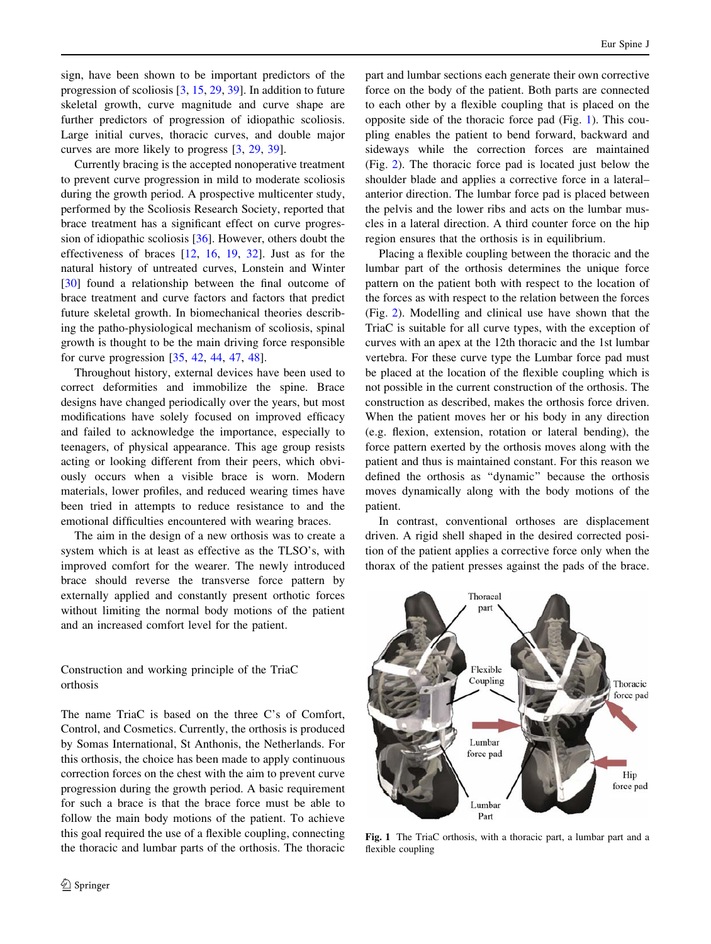sign, have been shown to be important predictors of the progression of scoliosis [[3,](#page-7-0) [15,](#page-7-0) [29,](#page-7-0) [39\]](#page-7-0). In addition to future skeletal growth, curve magnitude and curve shape are further predictors of progression of idiopathic scoliosis. Large initial curves, thoracic curves, and double major curves are more likely to progress [[3,](#page-7-0) [29](#page-7-0), [39](#page-7-0)].

Currently bracing is the accepted nonoperative treatment to prevent curve progression in mild to moderate scoliosis during the growth period. A prospective multicenter study, performed by the Scoliosis Research Society, reported that brace treatment has a significant effect on curve progression of idiopathic scoliosis [\[36](#page-7-0)]. However, others doubt the effectiveness of braces [[12,](#page-7-0) [16](#page-7-0), [19](#page-7-0), [32\]](#page-7-0). Just as for the natural history of untreated curves, Lonstein and Winter [\[30](#page-7-0)] found a relationship between the final outcome of brace treatment and curve factors and factors that predict future skeletal growth. In biomechanical theories describing the patho-physiological mechanism of scoliosis, spinal growth is thought to be the main driving force responsible for curve progression [[35,](#page-7-0) [42,](#page-7-0) [44](#page-7-0), [47](#page-8-0), [48\]](#page-8-0).

Throughout history, external devices have been used to correct deformities and immobilize the spine. Brace designs have changed periodically over the years, but most modifications have solely focused on improved efficacy and failed to acknowledge the importance, especially to teenagers, of physical appearance. This age group resists acting or looking different from their peers, which obviously occurs when a visible brace is worn. Modern materials, lower profiles, and reduced wearing times have been tried in attempts to reduce resistance to and the emotional difficulties encountered with wearing braces.

The aim in the design of a new orthosis was to create a system which is at least as effective as the TLSO's, with improved comfort for the wearer. The newly introduced brace should reverse the transverse force pattern by externally applied and constantly present orthotic forces without limiting the normal body motions of the patient and an increased comfort level for the patient.

Construction and working principle of the TriaC orthosis

The name TriaC is based on the three C's of Comfort, Control, and Cosmetics. Currently, the orthosis is produced by Somas International, St Anthonis, the Netherlands. For this orthosis, the choice has been made to apply continuous correction forces on the chest with the aim to prevent curve progression during the growth period. A basic requirement for such a brace is that the brace force must be able to follow the main body motions of the patient. To achieve this goal required the use of a flexible coupling, connecting the thoracic and lumbar parts of the orthosis. The thoracic part and lumbar sections each generate their own corrective force on the body of the patient. Both parts are connected to each other by a flexible coupling that is placed on the opposite side of the thoracic force pad (Fig. 1). This coupling enables the patient to bend forward, backward and sideways while the correction forces are maintained (Fig. [2\)](#page-2-0). The thoracic force pad is located just below the shoulder blade and applies a corrective force in a lateral– anterior direction. The lumbar force pad is placed between the pelvis and the lower ribs and acts on the lumbar muscles in a lateral direction. A third counter force on the hip region ensures that the orthosis is in equilibrium.

Placing a flexible coupling between the thoracic and the lumbar part of the orthosis determines the unique force pattern on the patient both with respect to the location of the forces as with respect to the relation between the forces (Fig. [2\)](#page-2-0). Modelling and clinical use have shown that the TriaC is suitable for all curve types, with the exception of curves with an apex at the 12th thoracic and the 1st lumbar vertebra. For these curve type the Lumbar force pad must be placed at the location of the flexible coupling which is not possible in the current construction of the orthosis. The construction as described, makes the orthosis force driven. When the patient moves her or his body in any direction (e.g. flexion, extension, rotation or lateral bending), the force pattern exerted by the orthosis moves along with the patient and thus is maintained constant. For this reason we defined the orthosis as ''dynamic'' because the orthosis moves dynamically along with the body motions of the patient.

In contrast, conventional orthoses are displacement driven. A rigid shell shaped in the desired corrected position of the patient applies a corrective force only when the thorax of the patient presses against the pads of the brace.



Fig. 1 The TriaC orthosis, with a thoracic part, a lumbar part and a flexible coupling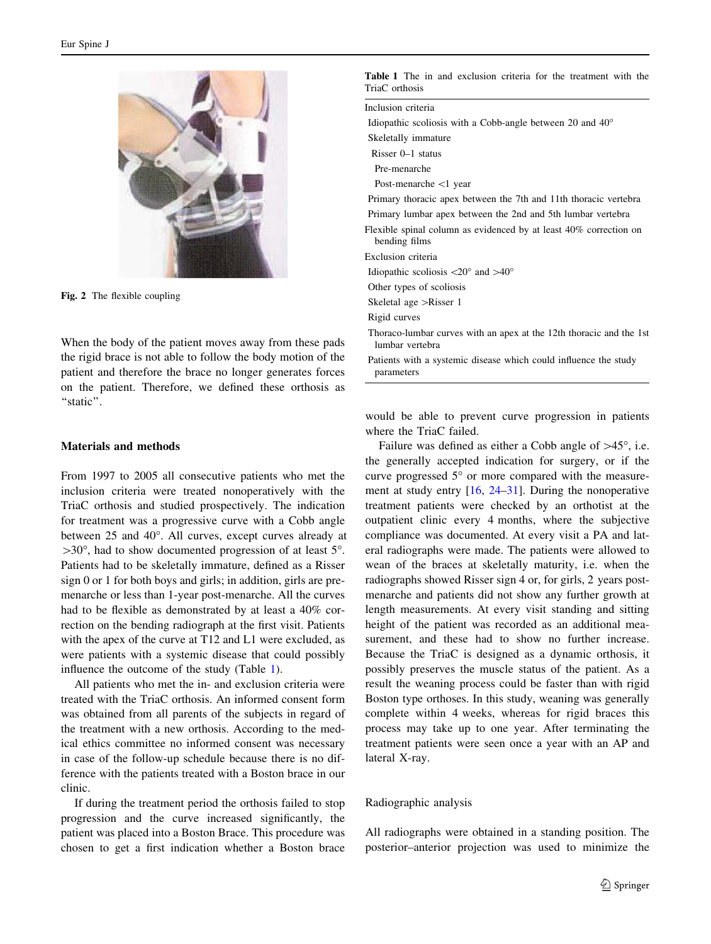<span id="page-2-0"></span>

Fig. 2 The flexible coupling

When the body of the patient moves away from these pads the rigid brace is not able to follow the body motion of the patient and therefore the brace no longer generates forces on the patient. Therefore, we defined these orthosis as "static".

## Materials and methods

From 1997 to 2005 all consecutive patients who met the inclusion criteria were treated nonoperatively with the TriaC orthosis and studied prospectively. The indication for treatment was a progressive curve with a Cobb angle between 25 and 40°. All curves, except curves already at  $>30^{\circ}$ , had to show documented progression of at least 5°. Patients had to be skeletally immature, defined as a Risser sign 0 or 1 for both boys and girls; in addition, girls are premenarche or less than 1-year post-menarche. All the curves had to be flexible as demonstrated by at least a 40% correction on the bending radiograph at the first visit. Patients with the apex of the curve at T12 and L1 were excluded, as were patients with a systemic disease that could possibly influence the outcome of the study (Table 1).

All patients who met the in- and exclusion criteria were treated with the TriaC orthosis. An informed consent form was obtained from all parents of the subjects in regard of the treatment with a new orthosis. According to the medical ethics committee no informed consent was necessary in case of the follow-up schedule because there is no difference with the patients treated with a Boston brace in our clinic.

If during the treatment period the orthosis failed to stop progression and the curve increased significantly, the patient was placed into a Boston Brace. This procedure was chosen to get a first indication whether a Boston brace

| TriaC orthosis                                                                         |  |  |
|----------------------------------------------------------------------------------------|--|--|
| Inclusion criteria                                                                     |  |  |
| Idiopathic scoliosis with a Cobb-angle between 20 and $40^{\circ}$                     |  |  |
| Skeletally immature                                                                    |  |  |
| Risser $0-1$ status                                                                    |  |  |
| Pre-menarche                                                                           |  |  |
| Post-menarche $\langle$ 1 year                                                         |  |  |
| Primary thoracic apex between the 7th and 11th thoracic vertebra                       |  |  |
| Primary lumbar apex between the 2nd and 5th lumbar vertebra                            |  |  |
| Flexible spinal column as evidenced by at least 40% correction on<br>bending films     |  |  |
| Exclusion criteria                                                                     |  |  |
| Idiopathic scoliosis $\langle 20^\circ \text{ and } > 40^\circ$                        |  |  |
| Other types of scoliosis                                                               |  |  |
| Skeletal age >Risser 1                                                                 |  |  |
| Rigid curves                                                                           |  |  |
| Thoraco-lumbar curves with an apex at the 12th thoracic and the 1st<br>lumbar vertebra |  |  |
| Patients with a systemic disease which could influence the study<br>parameters         |  |  |

Table 1 The in and exclusion criteria for the treatment with the

would be able to prevent curve progression in patients where the TriaC failed.

Failure was defined as either a Cobb angle of  $>45^\circ$ , i.e. the generally accepted indication for surgery, or if the curve progressed  $5^{\circ}$  or more compared with the measurement at study entry [[16,](#page-7-0) [24–31\]](#page-7-0). During the nonoperative treatment patients were checked by an orthotist at the outpatient clinic every 4 months, where the subjective compliance was documented. At every visit a PA and lateral radiographs were made. The patients were allowed to wean of the braces at skeletally maturity, i.e. when the radiographs showed Risser sign 4 or, for girls, 2 years postmenarche and patients did not show any further growth at length measurements. At every visit standing and sitting height of the patient was recorded as an additional measurement, and these had to show no further increase. Because the TriaC is designed as a dynamic orthosis, it possibly preserves the muscle status of the patient. As a result the weaning process could be faster than with rigid Boston type orthoses. In this study, weaning was generally complete within 4 weeks, whereas for rigid braces this process may take up to one year. After terminating the treatment patients were seen once a year with an AP and lateral X-ray.

# Radiographic analysis

All radiographs were obtained in a standing position. The posterior–anterior projection was used to minimize the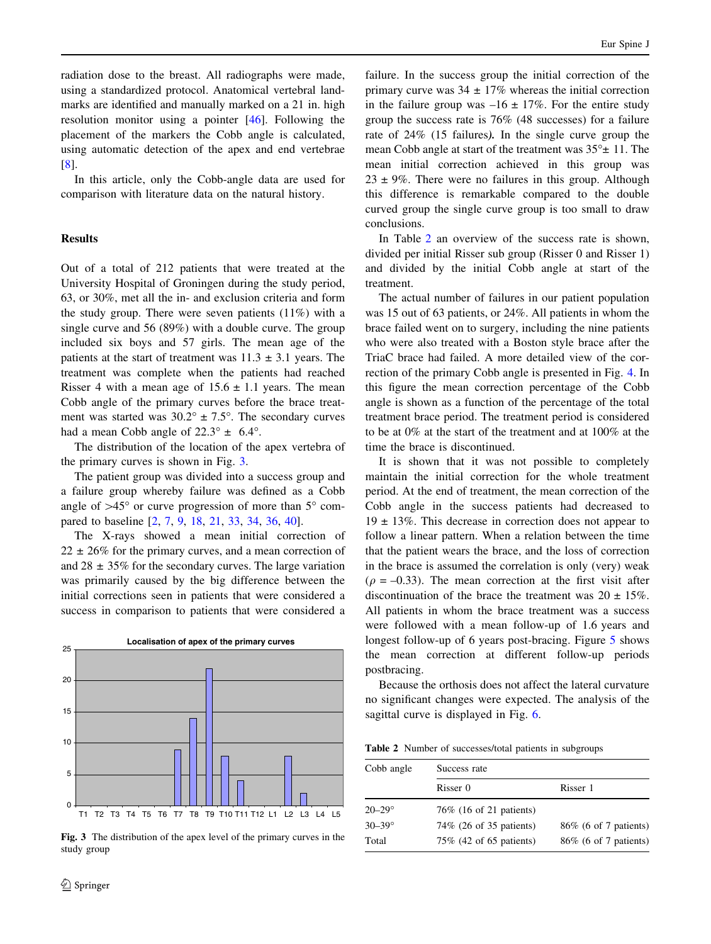radiation dose to the breast. All radiographs were made, using a standardized protocol. Anatomical vertebral landmarks are identified and manually marked on a 21 in. high resolution monitor using a pointer [[46\]](#page-8-0). Following the placement of the markers the Cobb angle is calculated, using automatic detection of the apex and end vertebrae [\[8](#page-7-0)].

In this article, only the Cobb-angle data are used for comparison with literature data on the natural history.

# **Results**

Out of a total of 212 patients that were treated at the University Hospital of Groningen during the study period, 63, or 30%, met all the in- and exclusion criteria and form the study group. There were seven patients (11%) with a single curve and 56 (89%) with a double curve. The group included six boys and 57 girls. The mean age of the patients at the start of treatment was  $11.3 \pm 3.1$  years. The treatment was complete when the patients had reached Risser 4 with a mean age of  $15.6 \pm 1.1$  years. The mean Cobb angle of the primary curves before the brace treatment was started was  $30.2^{\circ} \pm 7.5^{\circ}$ . The secondary curves had a mean Cobb angle of  $22.3^{\circ} \pm 6.4^{\circ}$ .

The distribution of the location of the apex vertebra of the primary curves is shown in Fig. 3.

The patient group was divided into a success group and a failure group whereby failure was defined as a Cobb angle of  $>45^{\circ}$  or curve progression of more than  $5^{\circ}$  compared to baseline [\[2](#page-7-0), [7](#page-7-0), [9,](#page-7-0) [18,](#page-7-0) [21](#page-7-0), [33](#page-7-0), [34](#page-7-0), [36,](#page-7-0) [40\]](#page-7-0).

The X-rays showed a mean initial correction of  $22 \pm 26\%$  for the primary curves, and a mean correction of and  $28 \pm 35\%$  for the secondary curves. The large variation was primarily caused by the big difference between the initial corrections seen in patients that were considered a success in comparison to patients that were considered a



Fig. 3 The distribution of the apex level of the primary curves in the study group

failure. In the success group the initial correction of the primary curve was  $34 \pm 17\%$  whereas the initial correction in the failure group was  $-16 \pm 17\%$ . For the entire study group the success rate is 76% (48 successes) for a failure rate of 24% (15 failures). In the single curve group the mean Cobb angle at start of the treatment was  $35^{\circ}$  ± 11. The mean initial correction achieved in this group was  $23 \pm 9\%$ . There were no failures in this group. Although this difference is remarkable compared to the double curved group the single curve group is too small to draw conclusions.

In Table 2 an overview of the success rate is shown, divided per initial Risser sub group (Risser 0 and Risser 1) and divided by the initial Cobb angle at start of the treatment.

The actual number of failures in our patient population was 15 out of 63 patients, or 24%. All patients in whom the brace failed went on to surgery, including the nine patients who were also treated with a Boston style brace after the TriaC brace had failed. A more detailed view of the correction of the primary Cobb angle is presented in Fig. [4.](#page-4-0) In this figure the mean correction percentage of the Cobb angle is shown as a function of the percentage of the total treatment brace period. The treatment period is considered to be at 0% at the start of the treatment and at 100% at the time the brace is discontinued.

It is shown that it was not possible to completely maintain the initial correction for the whole treatment period. At the end of treatment, the mean correction of the Cobb angle in the success patients had decreased to  $19 \pm 13\%$ . This decrease in correction does not appear to follow a linear pattern. When a relation between the time that the patient wears the brace, and the loss of correction in the brace is assumed the correlation is only (very) weak  $(\rho = -0.33)$ . The mean correction at the first visit after discontinuation of the brace the treatment was  $20 \pm 15\%$ . All patients in whom the brace treatment was a success were followed with a mean follow-up of 1.6 years and longest follow-up of 6 years post-bracing. Figure [5](#page-4-0) shows the mean correction at different follow-up periods postbracing.

Because the orthosis does not affect the lateral curvature no significant changes were expected. The analysis of the sagittal curve is displayed in Fig. [6.](#page-4-0)

Table 2 Number of successes/total patients in subgroups

| Cobb angle        | Success rate             |                        |
|-------------------|--------------------------|------------------------|
|                   | Risser 0                 | Risser 1               |
| $20 - 29$ °       | 76\% (16 of 21 patients) |                        |
| $30 - 39^{\circ}$ | 74\% (26 of 35 patients) | 86\% (6 of 7 patients) |
| Total             | 75\% (42 of 65 patients) | 86\% (6 of 7 patients) |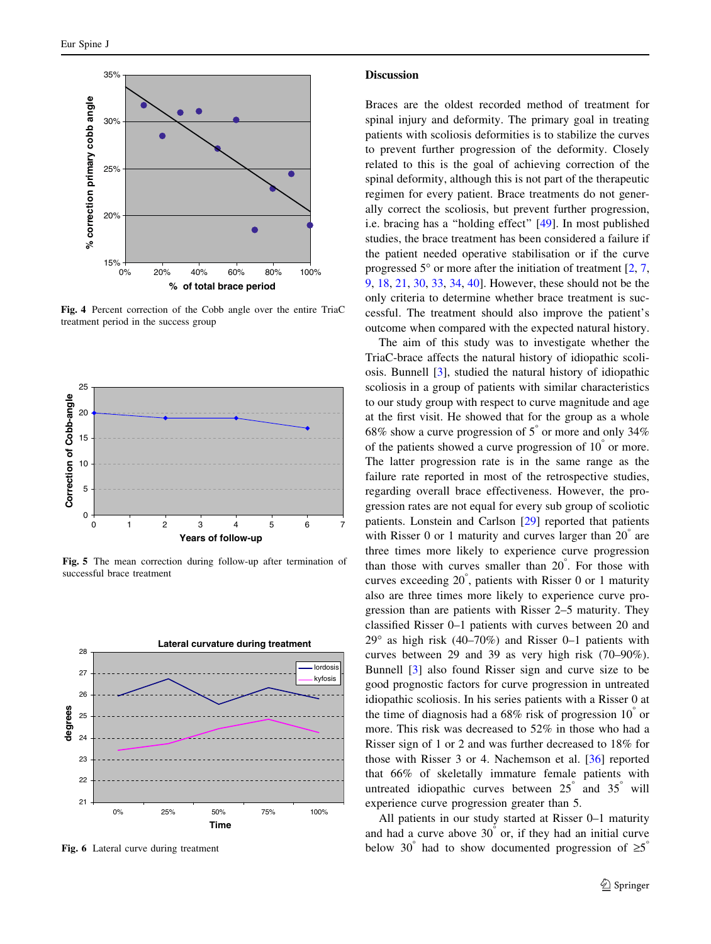<span id="page-4-0"></span>

Fig. 4 Percent correction of the Cobb angle over the entire TriaC treatment period in the success group



Fig. 5 The mean correction during follow-up after termination of successful brace treatment



Fig. 6 Lateral curve during treatment

#### **Discussion**

Braces are the oldest recorded method of treatment for spinal injury and deformity. The primary goal in treating patients with scoliosis deformities is to stabilize the curves to prevent further progression of the deformity. Closely related to this is the goal of achieving correction of the spinal deformity, although this is not part of the therapeutic regimen for every patient. Brace treatments do not generally correct the scoliosis, but prevent further progression, i.e. bracing has a ''holding effect'' [[49\]](#page-8-0). In most published studies, the brace treatment has been considered a failure if the patient needed operative stabilisation or if the curve progressed  $5^{\circ}$  or more after the initiation of treatment [[2,](#page-7-0) [7,](#page-7-0) [9](#page-7-0), [18](#page-7-0), [21](#page-7-0), [30](#page-7-0), [33,](#page-7-0) [34,](#page-7-0) [40\]](#page-7-0). However, these should not be the only criteria to determine whether brace treatment is successful. The treatment should also improve the patient's outcome when compared with the expected natural history.

The aim of this study was to investigate whether the TriaC-brace affects the natural history of idiopathic scoliosis. Bunnell [\[3](#page-7-0)], studied the natural history of idiopathic scoliosis in a group of patients with similar characteristics to our study group with respect to curve magnitude and age at the first visit. He showed that for the group as a whole 68% show a curve progression of  $5^{\degree}$  or more and only 34% of the patients showed a curve progression of  $10^{\degree}$  or more. The latter progression rate is in the same range as the failure rate reported in most of the retrospective studies, regarding overall brace effectiveness. However, the progression rates are not equal for every sub group of scoliotic patients. Lonstein and Carlson [\[29](#page-7-0)] reported that patients with Risser  $0$  or 1 maturity and curves larger than  $20^{\degree}$  are three times more likely to experience curve progression than those with curves smaller than  $20^{\degree}$ . For those with curves exceeding 20<sup>°</sup>, patients with Risser 0 or 1 maturity also are three times more likely to experience curve progression than are patients with Risser 2–5 maturity. They classified Risser 0–1 patients with curves between 20 and  $29^{\circ}$  as high risk (40–70%) and Risser 0–1 patients with curves between 29 and 39 as very high risk (70–90%). Bunnell [[3\]](#page-7-0) also found Risser sign and curve size to be good prognostic factors for curve progression in untreated idiopathic scoliosis. In his series patients with a Risser 0 at the time of diagnosis had a  $68\%$  risk of progression  $10^{\degree}$  or more. This risk was decreased to 52% in those who had a Risser sign of 1 or 2 and was further decreased to 18% for those with Risser 3 or 4. Nachemson et al. [[36\]](#page-7-0) reported that 66% of skeletally immature female patients with untreated idiopathic curves between  $25^{\degree}$  and  $35^{\degree}$  will experience curve progression greater than 5.

All patients in our study started at Risser 0–1 maturity and had a curve above  $30^{\degree}$  or, if they had an initial curve below 30° had to show documented progression of  $\geq 5$ °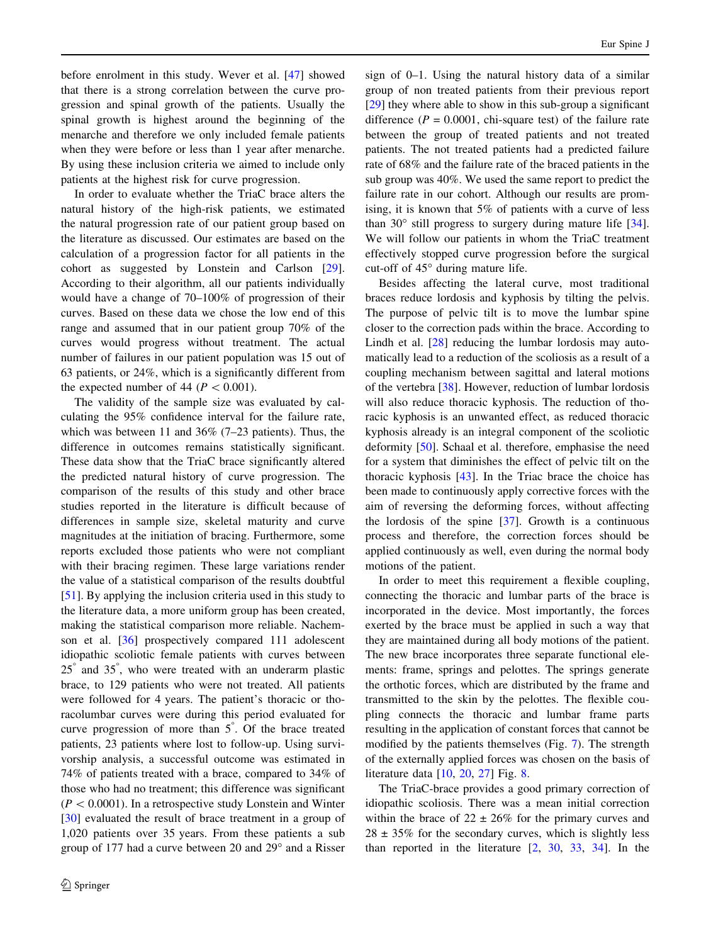before enrolment in this study. Wever et al. [[47](#page-8-0)] showed that there is a strong correlation between the curve progression and spinal growth of the patients. Usually the spinal growth is highest around the beginning of the menarche and therefore we only included female patients when they were before or less than 1 year after menarche. By using these inclusion criteria we aimed to include only patients at the highest risk for curve progression.

In order to evaluate whether the TriaC brace alters the natural history of the high-risk patients, we estimated the natural progression rate of our patient group based on the literature as discussed. Our estimates are based on the calculation of a progression factor for all patients in the cohort as suggested by Lonstein and Carlson [\[29](#page-7-0)]. According to their algorithm, all our patients individually would have a change of 70–100% of progression of their curves. Based on these data we chose the low end of this range and assumed that in our patient group 70% of the curves would progress without treatment. The actual number of failures in our patient population was 15 out of 63 patients, or 24%, which is a significantly different from the expected number of 44 ( $P \lt 0.001$ ).

The validity of the sample size was evaluated by calculating the 95% confidence interval for the failure rate, which was between 11 and 36% (7–23 patients). Thus, the difference in outcomes remains statistically significant. These data show that the TriaC brace significantly altered the predicted natural history of curve progression. The comparison of the results of this study and other brace studies reported in the literature is difficult because of differences in sample size, skeletal maturity and curve magnitudes at the initiation of bracing. Furthermore, some reports excluded those patients who were not compliant with their bracing regimen. These large variations render the value of a statistical comparison of the results doubtful [\[51](#page-8-0)]. By applying the inclusion criteria used in this study to the literature data, a more uniform group has been created, making the statistical comparison more reliable. Nachemson et al. [\[36](#page-7-0)] prospectively compared 111 adolescent idiopathic scoliotic female patients with curves between 25° and 35°, who were treated with an underarm plastic brace, to 129 patients who were not treated. All patients were followed for 4 years. The patient's thoracic or thoracolumbar curves were during this period evaluated for curve progression of more than  $5^{\degree}$ . Of the brace treated patients, 23 patients where lost to follow-up. Using survivorship analysis, a successful outcome was estimated in 74% of patients treated with a brace, compared to 34% of those who had no treatment; this difference was significant  $(P < 0.0001)$ . In a retrospective study Lonstein and Winter [\[30](#page-7-0)] evaluated the result of brace treatment in a group of 1,020 patients over 35 years. From these patients a sub group of 177 had a curve between 20 and 29° and a Risser

sign of 0–1. Using the natural history data of a similar group of non treated patients from their previous report [\[29](#page-7-0)] they where able to show in this sub-group a significant difference  $(P = 0.0001$ , chi-square test) of the failure rate between the group of treated patients and not treated patients. The not treated patients had a predicted failure rate of 68% and the failure rate of the braced patients in the sub group was 40%. We used the same report to predict the failure rate in our cohort. Although our results are promising, it is known that 5% of patients with a curve of less than 30° still progress to surgery during mature life [\[34](#page-7-0)]. We will follow our patients in whom the TriaC treatment effectively stopped curve progression before the surgical cut-off of  $45^\circ$  during mature life.

Besides affecting the lateral curve, most traditional braces reduce lordosis and kyphosis by tilting the pelvis. The purpose of pelvic tilt is to move the lumbar spine closer to the correction pads within the brace. According to Lindh et al. [\[28](#page-7-0)] reducing the lumbar lordosis may automatically lead to a reduction of the scoliosis as a result of a coupling mechanism between sagittal and lateral motions of the vertebra [[38\]](#page-7-0). However, reduction of lumbar lordosis will also reduce thoracic kyphosis. The reduction of thoracic kyphosis is an unwanted effect, as reduced thoracic kyphosis already is an integral component of the scoliotic deformity [[50\]](#page-8-0). Schaal et al. therefore, emphasise the need for a system that diminishes the effect of pelvic tilt on the thoracic kyphosis [\[43](#page-7-0)]. In the Triac brace the choice has been made to continuously apply corrective forces with the aim of reversing the deforming forces, without affecting the lordosis of the spine [[37\]](#page-7-0). Growth is a continuous process and therefore, the correction forces should be applied continuously as well, even during the normal body motions of the patient.

In order to meet this requirement a flexible coupling, connecting the thoracic and lumbar parts of the brace is incorporated in the device. Most importantly, the forces exerted by the brace must be applied in such a way that they are maintained during all body motions of the patient. The new brace incorporates three separate functional elements: frame, springs and pelottes. The springs generate the orthotic forces, which are distributed by the frame and transmitted to the skin by the pelottes. The flexible coupling connects the thoracic and lumbar frame parts resulting in the application of constant forces that cannot be modified by the patients themselves (Fig. [7\)](#page-6-0). The strength of the externally applied forces was chosen on the basis of literature data [\[10](#page-7-0), [20,](#page-7-0) [27\]](#page-7-0) Fig. [8](#page-6-0).

The TriaC-brace provides a good primary correction of idiopathic scoliosis. There was a mean initial correction within the brace of  $22 \pm 26\%$  for the primary curves and  $28 \pm 35\%$  for the secondary curves, which is slightly less than reported in the literature [[2,](#page-7-0) [30](#page-7-0), [33,](#page-7-0) [34](#page-7-0)]. In the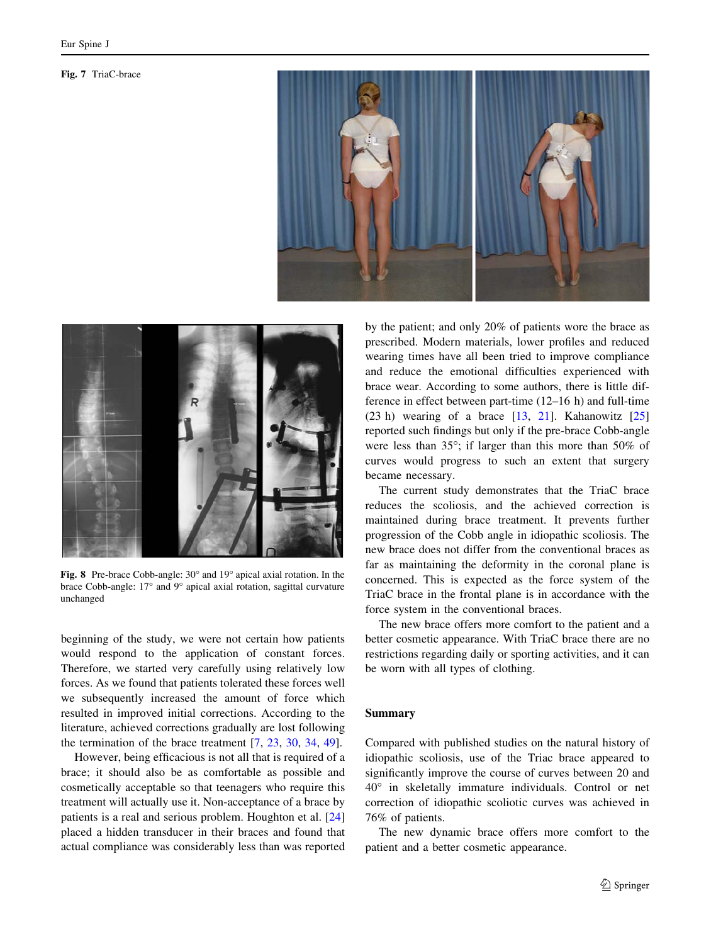<span id="page-6-0"></span>Fig. 7 TriaC-brace





Fig. 8 Pre-brace Cobb-angle: 30° and 19° apical axial rotation. In the brace Cobb-angle: 17° and 9° apical axial rotation, sagittal curvature unchanged

beginning of the study, we were not certain how patients would respond to the application of constant forces. Therefore, we started very carefully using relatively low forces. As we found that patients tolerated these forces well we subsequently increased the amount of force which resulted in improved initial corrections. According to the literature, achieved corrections gradually are lost following the termination of the brace treatment [\[7](#page-7-0), [23,](#page-7-0) [30,](#page-7-0) [34](#page-7-0), [49](#page-8-0)].

However, being efficacious is not all that is required of a brace; it should also be as comfortable as possible and cosmetically acceptable so that teenagers who require this treatment will actually use it. Non-acceptance of a brace by patients is a real and serious problem. Houghton et al. [[24\]](#page-7-0) placed a hidden transducer in their braces and found that actual compliance was considerably less than was reported by the patient; and only 20% of patients wore the brace as prescribed. Modern materials, lower profiles and reduced wearing times have all been tried to improve compliance and reduce the emotional difficulties experienced with brace wear. According to some authors, there is little difference in effect between part-time (12–16 h) and full-time (23 h) wearing of a brace  $[13, 21]$  $[13, 21]$  $[13, 21]$ . Kahanowitz  $[25]$  $[25]$ reported such findings but only if the pre-brace Cobb-angle were less than  $35^{\circ}$ ; if larger than this more than  $50\%$  of curves would progress to such an extent that surgery became necessary.

The current study demonstrates that the TriaC brace reduces the scoliosis, and the achieved correction is maintained during brace treatment. It prevents further progression of the Cobb angle in idiopathic scoliosis. The new brace does not differ from the conventional braces as far as maintaining the deformity in the coronal plane is concerned. This is expected as the force system of the TriaC brace in the frontal plane is in accordance with the force system in the conventional braces.

The new brace offers more comfort to the patient and a better cosmetic appearance. With TriaC brace there are no restrictions regarding daily or sporting activities, and it can be worn with all types of clothing.

### Summary

Compared with published studies on the natural history of idiopathic scoliosis, use of the Triac brace appeared to significantly improve the course of curves between 20 and 40° in skeletally immature individuals. Control or net correction of idiopathic scoliotic curves was achieved in 76% of patients.

The new dynamic brace offers more comfort to the patient and a better cosmetic appearance.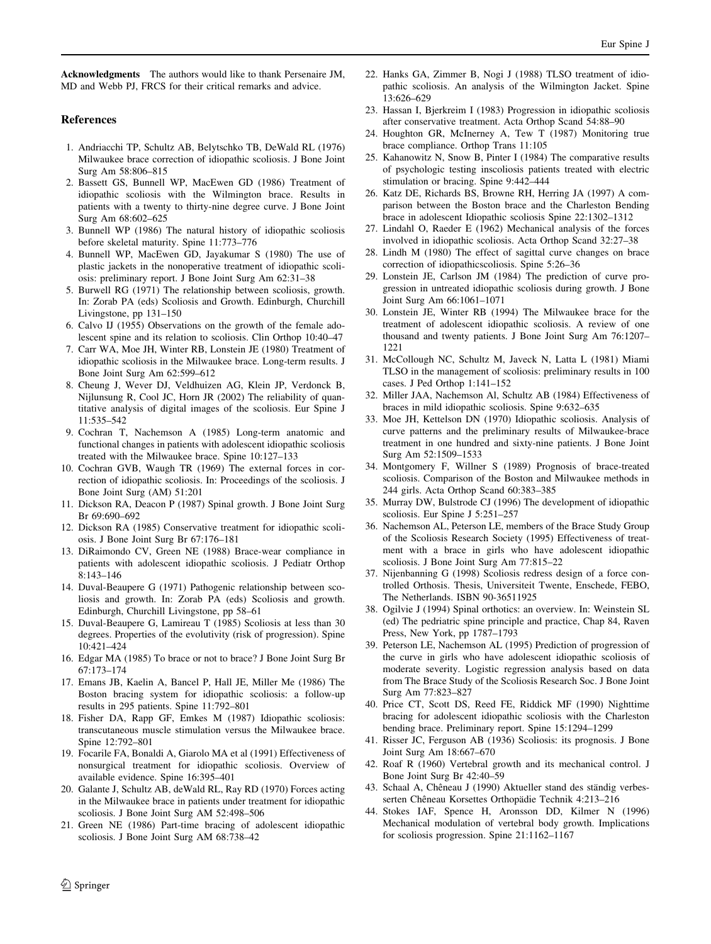<span id="page-7-0"></span>Acknowledgments The authors would like to thank Persenaire JM, MD and Webb PJ, FRCS for their critical remarks and advice.

## References

- 1. Andriacchi TP, Schultz AB, Belytschko TB, DeWald RL (1976) Milwaukee brace correction of idiopathic scoliosis. J Bone Joint Surg Am 58:806–815
- 2. Bassett GS, Bunnell WP, MacEwen GD (1986) Treatment of idiopathic scoliosis with the Wilmington brace. Results in patients with a twenty to thirty-nine degree curve. J Bone Joint Surg Am 68:602–625
- 3. Bunnell WP (1986) The natural history of idiopathic scoliosis before skeletal maturity. Spine 11:773–776
- 4. Bunnell WP, MacEwen GD, Jayakumar S (1980) The use of plastic jackets in the nonoperative treatment of idiopathic scoliosis: preliminary report. J Bone Joint Surg Am 62:31–38
- 5. Burwell RG (1971) The relationship between scoliosis, growth. In: Zorab PA (eds) Scoliosis and Growth. Edinburgh, Churchill Livingstone, pp 131–150
- 6. Calvo IJ (1955) Observations on the growth of the female adolescent spine and its relation to scoliosis. Clin Orthop 10:40–47
- 7. Carr WA, Moe JH, Winter RB, Lonstein JE (1980) Treatment of idiopathic scoliosis in the Milwaukee brace. Long-term results. J Bone Joint Surg Am 62:599–612
- 8. Cheung J, Wever DJ, Veldhuizen AG, Klein JP, Verdonck B, Nijlunsung R, Cool JC, Horn JR (2002) The reliability of quantitative analysis of digital images of the scoliosis. Eur Spine J 11:535–542
- 9. Cochran T, Nachemson A (1985) Long-term anatomic and functional changes in patients with adolescent idiopathic scoliosis treated with the Milwaukee brace. Spine 10:127–133
- 10. Cochran GVB, Waugh TR (1969) The external forces in correction of idiopathic scoliosis. In: Proceedings of the scoliosis. J Bone Joint Surg (AM) 51:201
- 11. Dickson RA, Deacon P (1987) Spinal growth. J Bone Joint Surg Br 69:690–692
- 12. Dickson RA (1985) Conservative treatment for idiopathic scoliosis. J Bone Joint Surg Br 67:176–181
- 13. DiRaimondo CV, Green NE (1988) Brace-wear compliance in patients with adolescent idiopathic scoliosis. J Pediatr Orthop 8:143–146
- 14. Duval-Beaupere G (1971) Pathogenic relationship between scoliosis and growth. In: Zorab PA (eds) Scoliosis and growth. Edinburgh, Churchill Livingstone, pp 58–61
- 15. Duval-Beaupere G, Lamireau T (1985) Scoliosis at less than 30 degrees. Properties of the evolutivity (risk of progression). Spine 10:421–424
- 16. Edgar MA (1985) To brace or not to brace? J Bone Joint Surg Br 67:173–174
- 17. Emans JB, Kaelin A, Bancel P, Hall JE, Miller Me (1986) The Boston bracing system for idiopathic scoliosis: a follow-up results in 295 patients. Spine 11:792–801
- 18. Fisher DA, Rapp GF, Emkes M (1987) Idiopathic scoliosis: transcutaneous muscle stimulation versus the Milwaukee brace. Spine 12:792–801
- 19. Focarile FA, Bonaldi A, Giarolo MA et al (1991) Effectiveness of nonsurgical treatment for idiopathic scoliosis. Overview of available evidence. Spine 16:395–401
- 20. Galante J, Schultz AB, deWald RL, Ray RD (1970) Forces acting in the Milwaukee brace in patients under treatment for idiopathic scoliosis. J Bone Joint Surg AM 52:498–506
- 21. Green NE (1986) Part-time bracing of adolescent idiopathic scoliosis. J Bone Joint Surg AM 68:738–42
- 22. Hanks GA, Zimmer B, Nogi J (1988) TLSO treatment of idiopathic scoliosis. An analysis of the Wilmington Jacket. Spine 13:626–629
- 23. Hassan I, Bjerkreim I (1983) Progression in idiopathic scoliosis after conservative treatment. Acta Orthop Scand 54:88–90
- 24. Houghton GR, McInerney A, Tew T (1987) Monitoring true brace compliance. Orthop Trans 11:105
- 25. Kahanowitz N, Snow B, Pinter I (1984) The comparative results of psychologic testing inscoliosis patients treated with electric stimulation or bracing. Spine 9:442–444
- 26. Katz DE, Richards BS, Browne RH, Herring JA (1997) A comparison between the Boston brace and the Charleston Bending brace in adolescent Idiopathic scoliosis Spine 22:1302–1312
- 27. Lindahl O, Raeder E (1962) Mechanical analysis of the forces involved in idiopathic scoliosis. Acta Orthop Scand 32:27–38
- 28. Lindh M (1980) The effect of sagittal curve changes on brace correction of idiopathicscoliosis. Spine 5:26–36
- 29. Lonstein JE, Carlson JM (1984) The prediction of curve progression in untreated idiopathic scoliosis during growth. J Bone Joint Surg Am 66:1061–1071
- 30. Lonstein JE, Winter RB (1994) The Milwaukee brace for the treatment of adolescent idiopathic scoliosis. A review of one thousand and twenty patients. J Bone Joint Surg Am 76:1207– 1221
- 31. McCollough NC, Schultz M, Javeck N, Latta L (1981) Miami TLSO in the management of scoliosis: preliminary results in 100 cases. J Ped Orthop 1:141–152
- 32. Miller JAA, Nachemson Al, Schultz AB (1984) Effectiveness of braces in mild idiopathic scoliosis. Spine 9:632–635
- 33. Moe JH, Kettelson DN (1970) Idiopathic scoliosis. Analysis of curve patterns and the preliminary results of Milwaukee-brace treatment in one hundred and sixty-nine patients. J Bone Joint Surg Am 52:1509–1533
- 34. Montgomery F, Willner S (1989) Prognosis of brace-treated scoliosis. Comparison of the Boston and Milwaukee methods in 244 girls. Acta Orthop Scand 60:383–385
- 35. Murray DW, Bulstrode CJ (1996) The development of idiopathic scoliosis. Eur Spine J 5:251–257
- 36. Nachemson AL, Peterson LE, members of the Brace Study Group of the Scoliosis Research Society (1995) Effectiveness of treatment with a brace in girls who have adolescent idiopathic scoliosis. J Bone Joint Surg Am 77:815–22
- 37. Nijenbanning G (1998) Scoliosis redress design of a force controlled Orthosis. Thesis, Universiteit Twente, Enschede, FEBO, The Netherlands. ISBN 90-36511925
- 38. Ogilvie J (1994) Spinal orthotics: an overview. In: Weinstein SL (ed) The pedriatric spine principle and practice, Chap 84, Raven Press, New York, pp 1787–1793
- 39. Peterson LE, Nachemson AL (1995) Prediction of progression of the curve in girls who have adolescent idiopathic scoliosis of moderate severity. Logistic regression analysis based on data from The Brace Study of the Scoliosis Research Soc. J Bone Joint Surg Am 77:823–827
- 40. Price CT, Scott DS, Reed FE, Riddick MF (1990) Nighttime bracing for adolescent idiopathic scoliosis with the Charleston bending brace. Preliminary report. Spine 15:1294–1299
- 41. Risser JC, Ferguson AB (1936) Scoliosis: its prognosis. J Bone Joint Surg Am 18:667–670
- 42. Roaf R (1960) Vertebral growth and its mechanical control. J Bone Joint Surg Br 42:40–59
- 43. Schaal A, Chêneau J (1990) Aktueller stand des ständig verbesserten Chêneau Korsettes Orthopädie Technik 4:213-216
- 44. Stokes IAF, Spence H, Aronsson DD, Kilmer N (1996) Mechanical modulation of vertebral body growth. Implications for scoliosis progression. Spine 21:1162–1167